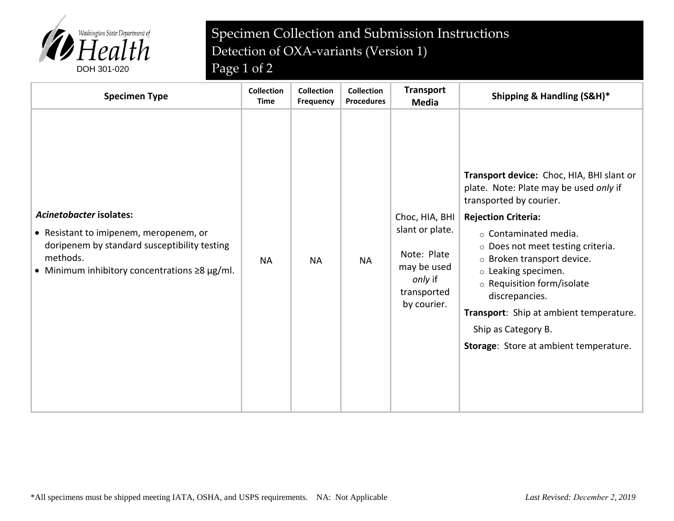

## Specimen Collection and Submission Instructions Detection of OXA-variants (Version 1)

| <b>Specimen Type</b>                                                                                                                                                                 | <b>Collection</b><br><b>Time</b> | <b>Collection</b><br>Frequency | <b>Collection</b><br><b>Procedures</b> | <b>Transport</b><br><b>Media</b>                                                                         | Shipping & Handling (S&H)*                                                                                                                                                                                                                                                                                                                                                                                                              |
|--------------------------------------------------------------------------------------------------------------------------------------------------------------------------------------|----------------------------------|--------------------------------|----------------------------------------|----------------------------------------------------------------------------------------------------------|-----------------------------------------------------------------------------------------------------------------------------------------------------------------------------------------------------------------------------------------------------------------------------------------------------------------------------------------------------------------------------------------------------------------------------------------|
| Acinetobacter isolates:<br>• Resistant to imipenem, meropenem, or<br>doripenem by standard susceptibility testing<br>methods.<br>• Minimum inhibitory concentrations $\geq 8$ µg/ml. | <b>NA</b>                        | <b>NA</b>                      | <b>NA</b>                              | Choc, HIA, BHI<br>slant or plate.<br>Note: Plate<br>may be used<br>only if<br>transported<br>by courier. | Transport device: Choc, HIA, BHI slant or<br>plate. Note: Plate may be used only if<br>transported by courier.<br><b>Rejection Criteria:</b><br>$\circ$ Contaminated media.<br>o Does not meet testing criteria.<br>o Broken transport device.<br>$\circ$ Leaking specimen.<br>o Requisition form/isolate<br>discrepancies.<br>Transport: Ship at ambient temperature.<br>Ship as Category B.<br>Storage: Store at ambient temperature. |